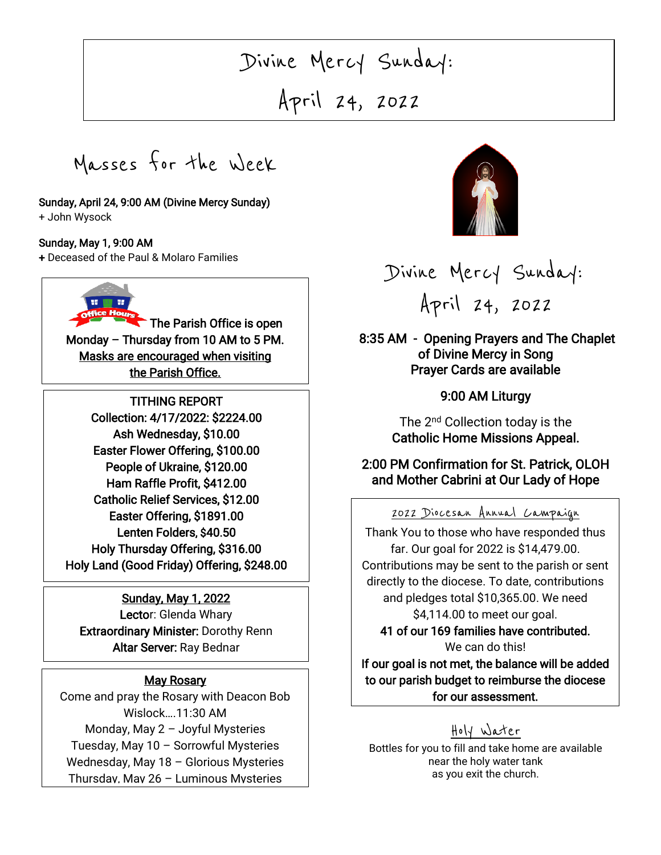# $\overline{\phantom{a}}$ Divine Mercy Sunday:

April 24, 2022

Masses for the Week

#### Sunday, April 24, 9:00 AM (Divine Mercy Sunday)

+ John Wysock

#### Sunday, May 1, 9:00 AM

+ Deceased of the Paul & Molaro Families



TITHING REPORT Collection: 4/17/2022: \$2224.00 Ash Wednesday, \$10.00 Easter Flower Offering, \$100.00 People of Ukraine, \$120.00 Ham Raffle Profit, \$412.00 Catholic Relief Services, \$12.00 Easter Offering, \$1891.00 Lenten Folders, \$40.50 Holy Thursday Offering, \$316.00 Holy Land (Good Friday) Offering, \$248.00

### Sunday, May 1, 2022

Lector: Glenda Whary Extraordinary Minister: Dorothy Renn Altar Server: Ray Bednar

## May Rosary

Come and pray the Rosary with Deacon Bob Wislock….11:30 AM Monday, May 2 – Joyful Mysteries Tuesday, May 10 – Sorrowful Mysteries Wednesday, May 18 – Glorious Mysteries Thursday, May 26 – Luminous Mysteries



# Divine Mercy Sunday: Apri[l 24, 2](https://creativecommons.org/licenses/by-nc-nd/3.0/)022

 8:35 AM - Opening Prayers and The Chaplet of Divine Mercy in Song Prayer Cards are available

## 9:00 AM Liturgy

The 2<sup>nd</sup> Collection today is the Catholic Home Missions Appeal.

## 2:00 PM Confirmation for St. Patrick, OLOH and Mother Cabrini at Our Lady of Hope

# 2022 Diocesan Annual Campaign

 Thank You to those who have responded thus far. Our goal for 2022 is \$14,479.00. directly to the diocese. To date, contributions j Contributions may be sent to the parish or sent and pledges total \$10,365.00. We need \$4,114.00 to meet our goal.

41 of our 169 families have contributed.

We can do this!<br>I mot the belene

 to our parish budget to reimburse the diocese for our assessment. If our goal is not met, the balance will be added

## Holy Water

Bottles for you to fill and take home are available near the holy water tank as you exit the church.